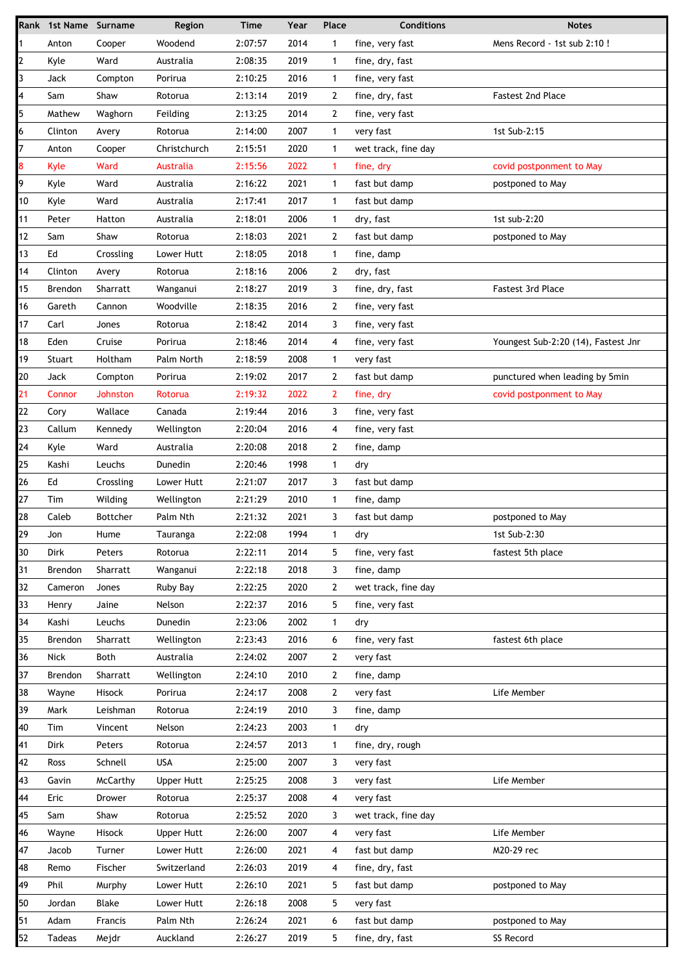|          | Rank 1st Name Surname |                 | Region                       | <b>Time</b>        | Year         | Place          | <b>Conditions</b>                | <b>Notes</b>                        |
|----------|-----------------------|-----------------|------------------------------|--------------------|--------------|----------------|----------------------------------|-------------------------------------|
| 1        | Anton                 | Cooper          | Woodend                      | 2:07:57            | 2014         | 1              | fine, very fast                  | Mens Record - 1st sub 2:10!         |
| 2        | Kyle                  | Ward            | Australia                    | 2:08:35            | 2019         | $\mathbf{1}$   | fine, dry, fast                  |                                     |
| 3        | Jack                  | Compton         | Porirua                      | 2:10:25            | 2016         | $\mathbf 1$    | fine, very fast                  |                                     |
| 4        | Sam                   | Shaw            | Rotorua                      | 2:13:14            | 2019         | $\overline{2}$ | fine, dry, fast                  | <b>Fastest 2nd Place</b>            |
| 5        | Mathew                | Waghorn         | Feilding                     | 2:13:25            | 2014         | 2              | fine, very fast                  |                                     |
| 6        | Clinton               | Avery           | Rotorua                      | 2:14:00            | 2007         | $\mathbf{1}$   | very fast                        | 1st Sub-2:15                        |
| 7        | Anton                 | Cooper          | Christchurch                 | 2:15:51            | 2020         | $\mathbf{1}$   | wet track, fine day              |                                     |
| 8        | Kyle                  | Ward            | Australia                    | 2:15:56            | 2022         | $\mathbf{1}$   | fine, dry                        | covid postponment to May            |
| 9        | Kyle                  | Ward            | Australia                    | 2:16:22            | 2021         | 1              | fast but damp                    | postponed to May                    |
| 10       | Kyle                  | Ward            | Australia                    | 2:17:41            | 2017         | $\mathbf{1}$   | fast but damp                    |                                     |
| 11       | Peter                 | Hatton          | Australia                    | 2:18:01            | 2006         | $\mathbf{1}$   | dry, fast                        | 1st sub-2:20                        |
| 12       | Sam                   | Shaw            | Rotorua                      | 2:18:03            | 2021         | 2              | fast but damp                    | postponed to May                    |
| 13       | Ed                    | Crossling       | Lower Hutt                   | 2:18:05            | 2018         | $\mathbf{1}$   | fine, damp                       |                                     |
| 14       | Clinton               | Avery           | Rotorua                      | 2:18:16            | 2006         | $\mathbf{2}$   | dry, fast                        |                                     |
| 15       | Brendon               | Sharratt        | Wanganui                     | 2:18:27            | 2019         | 3              | fine, dry, fast                  | <b>Fastest 3rd Place</b>            |
| 16       | Gareth                | Cannon          | Woodville                    | 2:18:35            | 2016         | 2              | fine, very fast                  |                                     |
| 17       | Carl                  | Jones           | Rotorua                      | 2:18:42            | 2014         | 3              | fine, very fast                  |                                     |
| 18       | Eden                  | Cruise          | Porirua                      | 2:18:46            | 2014         | 4              | fine, very fast                  | Youngest Sub-2:20 (14), Fastest Jnr |
| 19       | Stuart                | Holtham         | Palm North                   | 2:18:59            | 2008         | $\mathbf{1}$   | very fast                        |                                     |
| 20       | Jack                  | Compton         | Porirua                      | 2:19:02            | 2017         | 2              | fast but damp                    | punctured when leading by 5min      |
| 21       | Connor                | Johnston        | Rotorua                      | 2:19:32            | 2022         | $\overline{2}$ | fine, dry                        | covid postponment to May            |
| 22       | Cory                  | Wallace         | Canada                       | 2:19:44            | 2016         | 3              | fine, very fast                  |                                     |
| 23       | Callum                | Kennedy         | Wellington                   | 2:20:04            | 2016         | 4              | fine, very fast                  |                                     |
| 24       | Kyle                  | Ward            | Australia                    | 2:20:08            | 2018         | $\mathbf{2}$   | fine, damp                       |                                     |
| 25       | Kashi                 | Leuchs          | Dunedin                      | 2:20:46            | 1998         | $\mathbf{1}$   | dry                              |                                     |
| 26       | Ed                    | Crossling       | Lower Hutt                   | 2:21:07            | 2017         | 3              | fast but damp                    |                                     |
| 27       | Tim                   | Wilding         | Wellington                   | 2:21:29            | 2010         | $\mathbf{1}$   | fine, damp                       |                                     |
| 28       | Caleb                 | Bottcher        | Palm Nth                     | 2:21:32            | 2021         | 3              | fast but damp                    | postponed to May                    |
| 29       | Jon                   | Hume            | Tauranga                     | 2:22:08            | 1994         | 1              | dry                              | 1st Sub-2:30                        |
| 30       | Dirk                  | Peters          | Rotorua                      | 2:22:11            | 2014         | 5              | fine, very fast                  | fastest 5th place                   |
| 31       | Brendon               | Sharratt        | Wanganui                     | 2:22:18            | 2018         | 3              | fine, damp                       |                                     |
| 32       | Cameron               | Jones           | Ruby Bay                     | 2:22:25            | 2020         | $\overline{2}$ | wet track, fine day              |                                     |
| 33       | Henry                 | Jaine           | Nelson                       | 2:22:37            | 2016         | 5              | fine, very fast                  |                                     |
| 34       | Kashi                 | Leuchs          | Dunedin                      | 2:23:06            | 2002         | $\mathbf{1}$   | dry                              |                                     |
| 35       | Brendon               | Sharratt        | Wellington                   | 2:23:43            | 2016         | 6              | fine, very fast                  | fastest 6th place                   |
| 36       | Nick                  | Both            | Australia                    | 2:24:02            | 2007         | 2              | very fast                        |                                     |
| 37       | Brendon               | <b>Sharratt</b> | Wellington                   | 2:24:10            | 2010         | 2              | fine, damp                       |                                     |
| 38       | Wayne                 | Hisock          | Porirua                      | 2:24:17            | 2008         | 2              | very fast                        | Life Member                         |
| 39       | Mark                  | Leishman        | Rotorua                      | 2:24:19            | 2010         | 3              | fine, damp                       |                                     |
| 40       | Tim                   | Vincent         | Nelson                       | 2:24:23            | 2003         | $\mathbf 1$    | dry                              |                                     |
| 41       | Dirk                  | Peters          | Rotorua                      | 2:24:57            | 2013         | $\mathbf{1}$   | fine, dry, rough                 |                                     |
| 42       | Ross                  | Schnell         | <b>USA</b>                   | 2:25:00            | 2007         | 3              | very fast                        |                                     |
| 43       | Gavin                 | McCarthy        | <b>Upper Hutt</b>            | 2:25:25            | 2008         | 3              | very fast                        | Life Member                         |
| 44       | Eric                  | Drower          | Rotorua                      | 2:25:37            | 2008         | 4              | very fast                        |                                     |
| 45       |                       |                 |                              |                    |              | 3              |                                  |                                     |
| 46       | Sam<br>Wayne          | Shaw<br>Hisock  | Rotorua<br><b>Upper Hutt</b> | 2:25:52<br>2:26:00 | 2020<br>2007 | 4              | wet track, fine day<br>very fast | Life Member                         |
|          |                       |                 |                              |                    |              |                |                                  |                                     |
| 47       | Jacob                 | Turner          | Lower Hutt                   | 2:26:00            | 2021<br>2019 | 4              | fast but damp                    | M20-29 rec                          |
| 48<br>49 | Remo                  | Fischer         | Switzerland                  | 2:26:03            |              | 4              | fine, dry, fast                  |                                     |
|          | Phil                  | Murphy          | Lower Hutt                   | 2:26:10            | 2021         | 5<br>5         | fast but damp                    | postponed to May                    |
| 50       | Jordan                | Blake           | Lower Hutt                   | 2:26:18            | 2008         |                | very fast                        |                                     |
| 51       | Adam                  | Francis         | Palm Nth                     | 2:26:24            | 2021         | 6              | fast but damp                    | postponed to May                    |
| 52       | <b>Tadeas</b>         | Mejdr           | Auckland                     | 2:26:27            | 2019         | 5              | fine, dry, fast                  | SS Record                           |